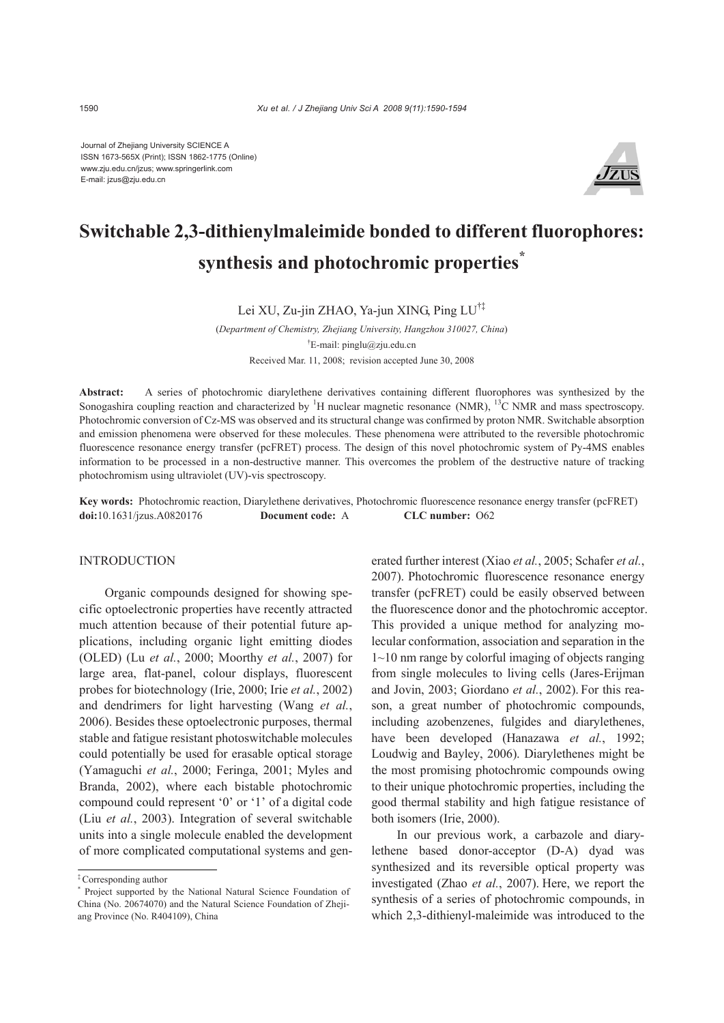Journal of Zhejiang University SCIENCE A ISSN 1673-565X (Print); ISSN 1862-1775 (Online) www.zju.edu.cn/jzus; www.springerlink.com E-mail: jzus@zju.edu.cn



# **Switchable 2,3-dithienylmaleimide bonded to different fluorophores: synthesis and photochromic properties\***

Lei XU, Zu-jin ZHAO, Ya-jun XING, Ping LU†‡

(*Department of Chemistry, Zhejiang University, Hangzhou 310027, China*) † E-mail: pinglu@zju.edu.cn Received Mar. 11, 2008; revision accepted June 30, 2008

**Abstract:** A series of photochromic diarylethene derivatives containing different fluorophores was synthesized by the Sonogashira coupling reaction and characterized by <sup>1</sup>H nuclear magnetic resonance (NMR), <sup>13</sup>C NMR and mass spectroscopy. Photochromic conversion of Cz-MS was observed and its structural change was confirmed by proton NMR. Switchable absorption and emission phenomena were observed for these molecules. These phenomena were attributed to the reversible photochromic fluorescence resonance energy transfer (pcFRET) process. The design of this novel photochromic system of Py-4MS enables information to be processed in a non-destructive manner. This overcomes the problem of the destructive nature of tracking photochromism using ultraviolet (UV)-vis spectroscopy.

**Key words:** Photochromic reaction, Diarylethene derivatives, Photochromic fluorescence resonance energy transfer (pcFRET) **doi:**10.1631/jzus.A0820176 **Document code:** A **CLC number:** O62

# INTRODUCTION

Organic compounds designed for showing specific optoelectronic properties have recently attracted much attention because of their potential future applications, including organic light emitting diodes (OLED) (Lu *et al.*, 2000; Moorthy *et al.*, 2007) for large area, flat-panel, colour displays, fluorescent probes for biotechnology (Irie, 2000; Irie *et al.*, 2002) and dendrimers for light harvesting (Wang *et al.*, 2006). Besides these optoelectronic purposes, thermal stable and fatigue resistant photoswitchable molecules could potentially be used for erasable optical storage (Yamaguchi *et al.*, 2000; Feringa, 2001; Myles and Branda, 2002), where each bistable photochromic compound could represent '0' or '1' of a digital code (Liu *et al.*, 2003). Integration of several switchable units into a single molecule enabled the development of more complicated computational systems and generated further interest (Xiao *et al.*, 2005; Schafer *et al.*, 2007). Photochromic fluorescence resonance energy transfer (pcFRET) could be easily observed between the fluorescence donor and the photochromic acceptor. This provided a unique method for analyzing molecular conformation, association and separation in the 1~10 nm range by colorful imaging of objects ranging from single molecules to living cells (Jares-Erijman and Jovin, 2003; Giordano *et al.*, 2002). For this reason, a great number of photochromic compounds, including azobenzenes, fulgides and diarylethenes, have been developed (Hanazawa *et al.*, 1992; Loudwig and Bayley, 2006). Diarylethenes might be the most promising photochromic compounds owing to their unique photochromic properties, including the good thermal stability and high fatigue resistance of both isomers (Irie, 2000).

In our previous work, a carbazole and diarylethene based donor-acceptor (D-A) dyad was synthesized and its reversible optical property was investigated (Zhao *et al.*, 2007). Here, we report the synthesis of a series of photochromic compounds, in which 2,3-dithienyl-maleimide was introduced to the

<sup>‡</sup> Corresponding author

<sup>\*</sup> Project supported by the National Natural Science Foundation of China (No. 20674070) and the Natural Science Foundation of Zhejiang Province (No. R404109), China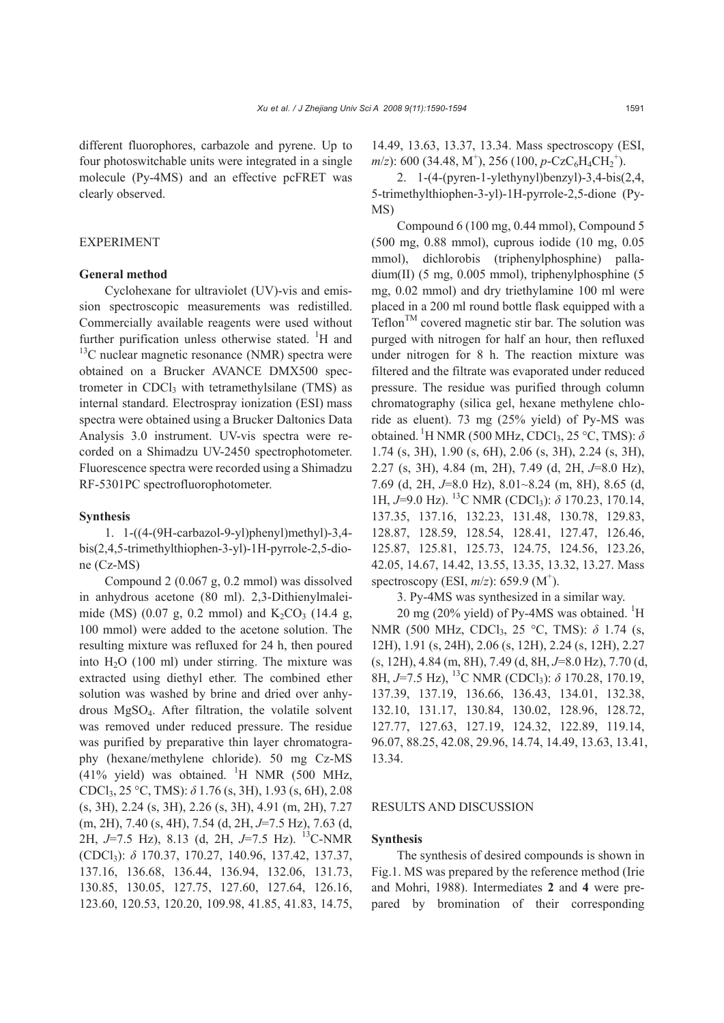different fluorophores, carbazole and pyrene. Up to four photoswitchable units were integrated in a single molecule (Py-4MS) and an effective pcFRET was clearly observed.

# EXPERIMENT

# **General method**

Cyclohexane for ultraviolet (UV)-vis and emission spectroscopic measurements was redistilled. Commercially available reagents were used without further purification unless otherwise stated.  ${}^{1}H$  and  $13^{\circ}$ C nuclear magnetic resonance (NMR) spectra were obtained on a Brucker AVANCE DMX500 spectrometer in CDCl<sub>3</sub> with tetramethylsilane  $(TMS)$  as internal standard. Electrospray ionization (ESI) mass spectra were obtained using a Brucker Daltonics Data Analysis 3.0 instrument. UV-vis spectra were recorded on a Shimadzu UV-2450 spectrophotometer. Fluorescence spectra were recorded using a Shimadzu RF-5301PC spectrofluorophotometer.

#### **Synthesis**

1. 1-((4-(9H-carbazol-9-yl)phenyl)methyl)-3,4 bis(2,4,5-trimethylthiophen-3-yl)-1H-pyrrole-2,5-dione (Cz-MS)

Compound 2 (0.067 g, 0.2 mmol) was dissolved in anhydrous acetone (80 ml). 2,3-Dithienylmaleimide (MS) (0.07 g, 0.2 mmol) and  $K_2CO_3$  (14.4 g, 100 mmol) were added to the acetone solution. The resulting mixture was refluxed for 24 h, then poured into  $H<sub>2</sub>O$  (100 ml) under stirring. The mixture was extracted using diethyl ether. The combined ether solution was washed by brine and dried over anhydrous MgSO4. After filtration, the volatile solvent was removed under reduced pressure. The residue was purified by preparative thin layer chromatography (hexane/methylene chloride). 50 mg Cz-MS  $(41\%$  yield) was obtained. <sup>1</sup>H NMR (500 MHz, CDCl3, 25 °C, TMS): *δ* 1.76 (s, 3H), 1.93 (s, 6H), 2.08 (s, 3H), 2.24 (s, 3H), 2.26 (s, 3H), 4.91 (m, 2H), 7.27 (m, 2H), 7.40 (s, 4H), 7.54 (d, 2H, *J*=7.5 Hz), 7.63 (d, 2H, *J*=7.5 Hz), 8.13 (d, 2H, *J*=7.5 Hz). 13C-NMR (CDCl3): *δ* 170.37, 170.27, 140.96, 137.42, 137.37, 137.16, 136.68, 136.44, 136.94, 132.06, 131.73, 130.85, 130.05, 127.75, 127.60, 127.64, 126.16, 123.60, 120.53, 120.20, 109.98, 41.85, 41.83, 14.75,

14.49, 13.63, 13.37, 13.34. Mass spectroscopy (ESI, *m*/*z*): 600 (34.48, M<sup>+</sup>), 256 (100, *p*-CzC<sub>6</sub>H<sub>4</sub>CH<sub>2</sub><sup>+</sup>).

2. 1-(4-(pyren-1-ylethynyl)benzyl)-3,4-bis(2,4, 5-trimethylthiophen-3-yl)-1H-pyrrole-2,5-dione (Py-MS)

Compound 6 (100 mg, 0.44 mmol), Compound 5 (500 mg, 0.88 mmol), cuprous iodide (10 mg, 0.05 mmol), dichlorobis (triphenylphosphine) palladium(II) (5 mg, 0.005 mmol), triphenylphosphine (5 mg, 0.02 mmol) and dry triethylamine 100 ml were placed in a 200 ml round bottle flask equipped with a  $Teflon^{TM}$  covered magnetic stir bar. The solution was purged with nitrogen for half an hour, then refluxed under nitrogen for 8 h. The reaction mixture was filtered and the filtrate was evaporated under reduced pressure. The residue was purified through column chromatography (silica gel, hexane methylene chloride as eluent). 73 mg (25% yield) of Py-MS was obtained. <sup>1</sup>H NMR (500 MHz, CDCl<sub>3</sub>, 25 °C, TMS):  $\delta$ 1.74 (s, 3H), 1.90 (s, 6H), 2.06 (s, 3H), 2.24 (s, 3H), 2.27 (s, 3H), 4.84 (m, 2H), 7.49 (d, 2H, *J*=8.0 Hz), 7.69 (d, 2H, *J*=8.0 Hz), 8.01~8.24 (m, 8H), 8.65 (d, 1H,  $J=9.0$  Hz). <sup>13</sup>C NMR (CDCl<sub>3</sub>):  $\delta$  170.23, 170.14, 137.35, 137.16, 132.23, 131.48, 130.78, 129.83, 128.87, 128.59, 128.54, 128.41, 127.47, 126.46, 125.87, 125.81, 125.73, 124.75, 124.56, 123.26, 42.05, 14.67, 14.42, 13.55, 13.35, 13.32, 13.27. Mass spectroscopy (ESI,  $m/z$ ): 659.9 (M<sup>+</sup>).

3. Py-4MS was synthesized in a similar way.

20 mg (20% yield) of Py-4MS was obtained.  ${}^{1}$ H NMR (500 MHz, CDCl<sub>3</sub>, 25 °C, TMS): δ 1.74 (s, 12H), 1.91 (s, 24H), 2.06 (s, 12H), 2.24 (s, 12H), 2.27 (s, 12H), 4.84 (m, 8H), 7.49 (d, 8H, *J*=8.0 Hz), 7.70 (d, 8H, *J*=7.5 Hz), 13C NMR (CDCl3): *δ* 170.28, 170.19, 137.39, 137.19, 136.66, 136.43, 134.01, 132.38, 132.10, 131.17, 130.84, 130.02, 128.96, 128.72, 127.77, 127.63, 127.19, 124.32, 122.89, 119.14, 96.07, 88.25, 42.08, 29.96, 14.74, 14.49, 13.63, 13.41, 13.34.

# RESULTS AND DISCUSSION

#### **Synthesis**

The synthesis of desired compounds is shown in Fig.1. MS was prepared by the reference method (Irie and Mohri, 1988). Intermediates **2** and **4** were prepared by bromination of their corresponding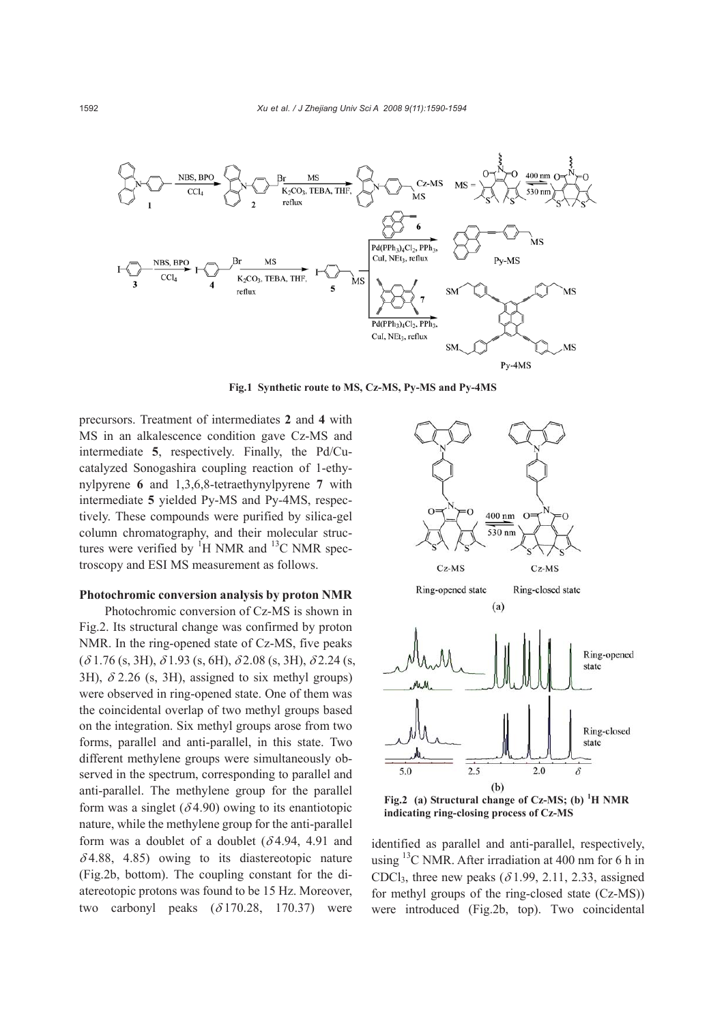

**Fig.1 Synthetic route to MS, Cz-MS, Py-MS and Py-4MS** 

precursors. Treatment of intermediates **2** and **4** with MS in an alkalescence condition gave Cz-MS and intermediate **5**, respectively. Finally, the Pd/Cucatalyzed Sonogashira coupling reaction of 1-ethynylpyrene **6** and 1,3,6,8-tetraethynylpyrene **7** with intermediate **5** yielded Py-MS and Py-4MS, respectively. These compounds were purified by silica-gel column chromatography, and their molecular structures were verified by  ${}^{1}H$  NMR and  ${}^{13}C$  NMR spectroscopy and ESI MS measurement as follows.

# **Photochromic conversion analysis by proton NMR**

Photochromic conversion of Cz-MS is shown in Fig.2. Its structural change was confirmed by proton NMR. In the ring-opened state of Cz-MS, five peaks  $(\delta 1.76$  (s, 3H),  $\delta 1.93$  (s, 6H),  $\delta 2.08$  (s, 3H),  $\delta 2.24$  (s, 3H),  $\delta$  2.26 (s, 3H), assigned to six methyl groups) were observed in ring-opened state. One of them was the coincidental overlap of two methyl groups based on the integration. Six methyl groups arose from two forms, parallel and anti-parallel, in this state. Two different methylene groups were simultaneously observed in the spectrum, corresponding to parallel and anti-parallel. The methylene group for the parallel form was a singlet  $(\delta 4.90)$  owing to its enantiotopic nature, while the methylene group for the anti-parallel form was a doublet of a doublet  $(\delta 4.94, 4.91, 4.91)$  $\delta$ 4.88, 4.85) owing to its diastereotopic nature (Fig.2b, bottom). The coupling constant for the diatereotopic protons was found to be 15 Hz. Moreover, two carbonyl peaks  $(\delta 170.28, 170.37)$  were



**indicating ring-closing process of Cz-MS** 

identified as parallel and anti-parallel, respectively, using  $^{13}$ C NMR. After irradiation at 400 nm for 6 h in CDCl<sub>3</sub>, three new peaks ( $\delta$ 1.99, 2.11, 2.33, assigned for methyl groups of the ring-closed state (Cz-MS)) were introduced (Fig.2b, top). Two coincidental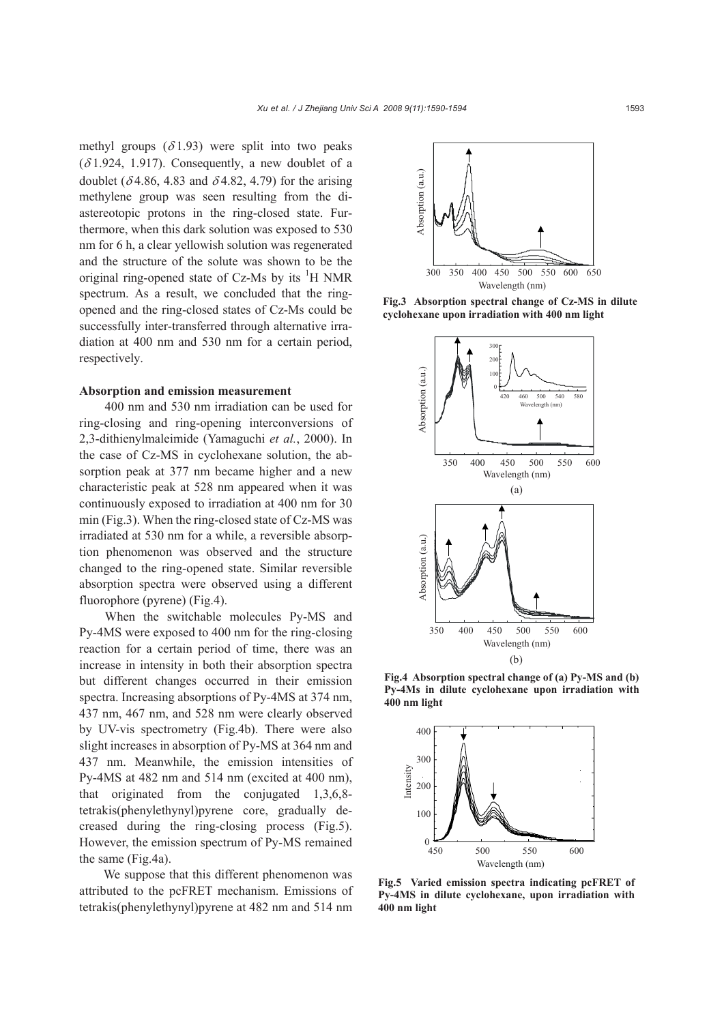methyl groups  $(\delta 1.93)$  were split into two peaks  $(\delta 1.924, 1.917)$ . Consequently, a new doublet of a doublet ( $\delta$ 4.86, 4.83 and  $\delta$ 4.82, 4.79) for the arising methylene group was seen resulting from the diastereotopic protons in the ring-closed state. Furthermore, when this dark solution was exposed to 530 nm for 6 h, a clear yellowish solution was regenerated and the structure of the solute was shown to be the original ring-opened state of Cz-Ms by its  ${}^{1}H$  NMR spectrum. As a result, we concluded that the ringopened and the ring-closed states of Cz-Ms could be successfully inter-transferred through alternative irradiation at 400 nm and 530 nm for a certain period, respectively.

### **Absorption and emission measurement**

400 nm and 530 nm irradiation can be used for ring-closing and ring-opening interconversions of 2,3-dithienylmaleimide (Yamaguchi *et al.*, 2000). In the case of Cz-MS in cyclohexane solution, the absorption peak at 377 nm became higher and a new characteristic peak at 528 nm appeared when it was continuously exposed to irradiation at 400 nm for 30 min (Fig.3). When the ring-closed state of Cz-MS was irradiated at 530 nm for a while, a reversible absorption phenomenon was observed and the structure changed to the ring-opened state. Similar reversible absorption spectra were observed using a different fluorophore (pyrene) (Fig.4).

When the switchable molecules Py-MS and Py-4MS were exposed to 400 nm for the ring-closing reaction for a certain period of time, there was an increase in intensity in both their absorption spectra but different changes occurred in their emission spectra. Increasing absorptions of Py-4MS at 374 nm, 437 nm, 467 nm, and 528 nm were clearly observed by UV-vis spectrometry (Fig.4b). There were also slight increases in absorption of Py-MS at 364 nm and 437 nm. Meanwhile, the emission intensities of Py-4MS at 482 nm and 514 nm (excited at 400 nm), that originated from the conjugated 1,3,6,8 tetrakis(phenylethynyl)pyrene core, gradually decreased during the ring-closing process (Fig.5). However, the emission spectrum of Py-MS remained the same (Fig.4a).

We suppose that this different phenomenon was attributed to the pcFRET mechanism. Emissions of tetrakis(phenylethynyl)pyrene at 482 nm and 514 nm



**Fig.3 Absorption spectral change of Cz-MS in dilute cyclohexane upon irradiation with 400 nm light** 



**Fig.4 Absorption spectral change of (a) Py-MS and (b) Py-4Ms in dilute cyclohexane upon irradiation with** 400 nm light



**Fig.5 Varied emission spectra indicating pcFRET of Py-4MS in dilute cyclohexane, upon irradiation with 400 nm light**